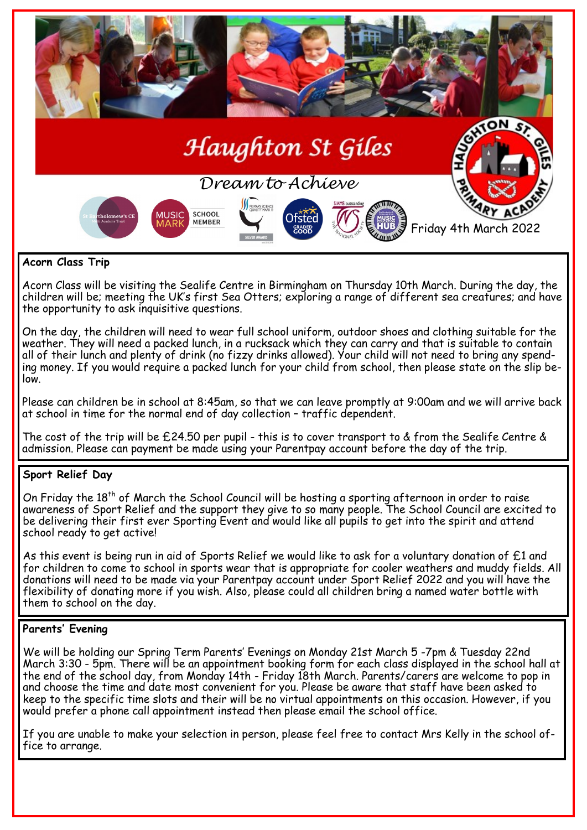

## **Acorn Class Trip**

Acorn Class will be visiting the Sealife Centre in Birmingham on Thursday 10th March. During the day, the children will be; meeting the UK's first Sea Otters; exploring a range of different sea creatures; and have the opportunity to ask inquisitive questions.

On the day, the children will need to wear full school uniform, outdoor shoes and clothing suitable for the weather. They will need a packed lunch, in a rucksack which they can carry and that is suitable to contain all of their lunch and plenty of drink (no fizzy drinks allowed). Your child will not need to bring any spending money. If you would require a packed lunch for your child from school, then please state on the slip below.

Please can children be in school at 8:45am, so that we can leave promptly at 9:00am and we will arrive back at school in time for the normal end of day collection – traffic dependent.

The cost of the trip will be £24.50 per pupil - this is to cover transport to & from the Sealife Centre & admission. Please can payment be made using your Parentpay account before the day of the trip.

## **Sport Relief Day**

On Friday the  $18^{\text{th}}$  of March the School Council will be hosting a sporting afternoon in order to raise awareness of Sport Relief and the support they give to so many people. The School Council are excited to be delivering their first ever Sporting Event and would like all pupils to get into the spirit and attend school ready to get active!

As this event is being run in aid of Sports Relief we would like to ask for a voluntary donation of £1 and for children to come to school in sports wear that is appropriate for cooler weathers and muddy fields. All donations will need to be made via your Parentpay account under Sport Relief 2022 and you will have the flexibility of donating more if you wish. Also, please could all children bring a named water bottle with them to school on the day.

#### **Parents' Evening**

We will be holding our Spring Term Parents' Evenings on Monday 21st March 5 -7pm & Tuesday 22nd March 3:30 - 5pm. There will be an appointment booking form for each class displayed in the school hall at the end of the school day, from Monday 14th - Friday 18th March. Parents/carers are welcome to pop in and choose the time and date most convenient for you. Please be aware that staff have been asked to keep to the specific time slots and their will be no virtual appointments on this occasion. However, if you would prefer a phone call appointment instead then please email the school office.

If you are unable to make your selection in person, please feel free to contact Mrs Kelly in the school office to arrange.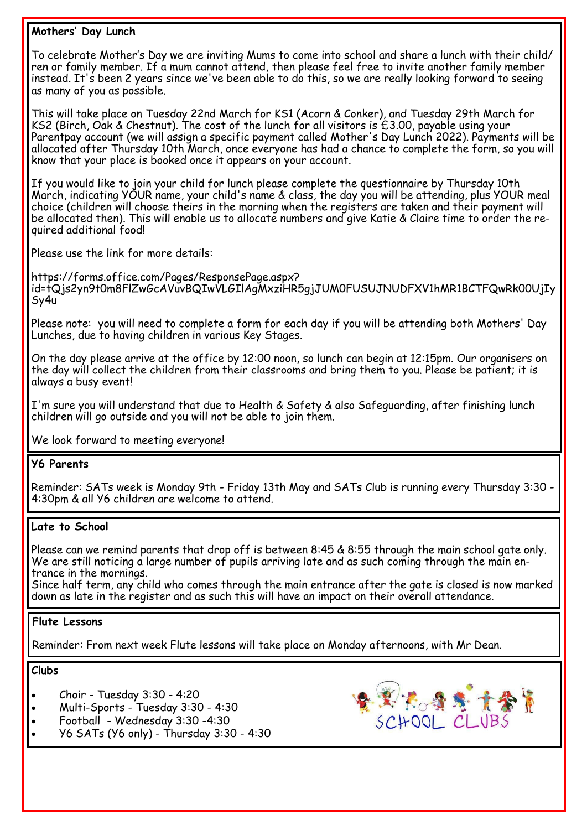## **Mothers' Day Lunch**

To celebrate Mother's Day we are inviting Mums to come into school and share a lunch with their child/ ren or family member. If a mum cannot attend, then please feel free to invite another family member instead. It's been 2 years since we've been able to do this, so we are really looking forward to seeing as many of you as possible.

This will take place on Tuesday 22nd March for KS1 (Acorn & Conker), and Tuesday 29th March for KS2 (Birch, Oak & Chestnut). The cost of the lunch for all visitors is  $\hat{\text{E}}$ 3.00, payable using your Parentpay account (we will assign a specific payment called Mother's Day Lunch 2022). Payments will be allocated after Thursday 10th March, once everyone has had a chance to complete the form, so you will know that your place is booked once it appears on your account.

If you would like to join your child for lunch please complete the questionnaire by Thursday 10th March, indicating YOUR name, your child's name & class, the day you will be attending, plus YOUR meal choice (children will choose theirs in the morning when the registers are taken and their payment will be allocated then). This will enable us to allocate numbers and give Katie & Claire time to order the required additional food!

Please use the link for more details:

https://forms.office.com/Pages/ResponsePage.aspx? id=tQjs2yn9t0m8FlZwGcAVuvBQIwVLGIlAgMxziHR5gjJUM0FUSUJNUDFXV1hMR1BCTFQwRk00UjIy Sy4u

Please note: you will need to complete a form for each day if you will be attending both Mothers' Day Lunches, due to having children in various Key Stages.

On the day please arrive at the office by 12:00 noon, so lunch can begin at 12:15pm. Our organisers on the day will collect the children from their classrooms and bring them to you. Please be patient; it is always a busy event!

I'm sure you will understand that due to Health & Safety & also Safeguarding, after finishing lunch children will go outside and you will not be able to join them.

We look forward to meeting everyone!

## **Y6 Parents**

Reminder: SATs week is Monday 9th - Friday 13th May and SATs Club is running every Thursday 3:30 - 4:30pm & all Y6 children are welcome to attend.

## **Late to School**

Please can we remind parents that drop off is between 8:45 & 8:55 through the main school gate only. We are still noticing a large number of pupils arriving late and as such coming through the main entrance in the mornings.

Since half term, any child who comes through the main entrance after the gate is closed is now marked down as late in the register and as such this will have an impact on their overall attendance.

## **Flute Lessons**

Reminder: From next week Flute lessons will take place on Monday afternoons, with Mr Dean.

**Clubs**

- Choir Tuesday 3:30 4:20
- Multi-Sports Tuesday 3:30 4:30
- Football Wednesday 3:30 -4:30
- Y6 SATs (Y6 only) Thursday 3:30 4:30